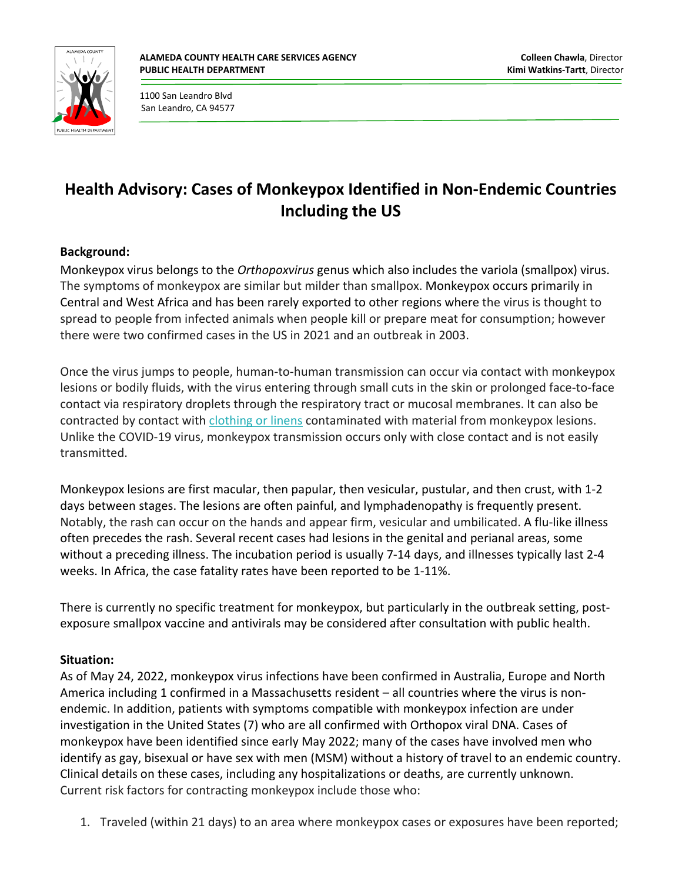

1100 San Leandro Blvd San Leandro, CA 94577

## **Health Advisory: Cases of Monkeypox Identified in Non-Endemic Countries Including the US**

## **Background:**

Monkeypox virus belongs to the *Orthopoxvirus* genus which also includes the variola (smallpox) virus. The symptoms of monkeypox are similar but milder than smallpox. Monkeypox occurs primarily in Central and West Africa and has been rarely exported to other regions where the virus is thought to spread to people from infected animals when people kill or prepare meat for consumption; however there were two confirmed cases in the US in 2021 and an outbreak in 2003.

Once the virus jumps to people, human-to-human transmission can occur via contact with monkeypox lesions or bodily fluids, with the virus entering through small cuts in the skin or prolonged face-to-face contact via respiratory droplets through the respiratory tract or mucosal membranes. It can also be contracted by contact with [clothing or linens](https://wwwnc.cdc.gov/eid/article/26/4/19-1164_article) contaminated with material from monkeypox lesions. Unlike the COVID-19 virus, monkeypox transmission occurs only with close contact and is not easily transmitted.

Monkeypox lesions are first macular, then papular, then vesicular, pustular, and then crust, with 1-2 days between stages. The lesions are often painful, and lymphadenopathy is frequently present. Notably, the rash can occur on the hands and appear firm, vesicular and umbilicated. A flu-like illness often precedes the rash. Several recent cases had lesions in the genital and perianal areas, some without a preceding illness. The incubation period is usually 7-14 days, and illnesses typically last 2-4 weeks. In Africa, the case fatality rates have been reported to be 1-11%.

There is currently no specific treatment for monkeypox, but particularly in the outbreak setting, postexposure smallpox vaccine and antivirals may be considered after consultation with public health.

## **Situation:**

As of May 24, 2022, monkeypox virus infections have been confirmed in Australia, Europe and North America including 1 confirmed in a Massachusetts resident – all countries where the virus is nonendemic. In addition, patients with symptoms compatible with monkeypox infection are under investigation in the United States (7) who are all confirmed with Orthopox viral DNA. Cases of monkeypox have been identified since early May 2022; many of the cases have involved men who identify as gay, bisexual or have sex with men (MSM) without a history of travel to an endemic country. Clinical details on these cases, including any hospitalizations or deaths, are currently unknown. Current risk factors for contracting monkeypox include those who:

1. Traveled (within 21 days) to an area where monkeypox cases or exposures have been reported;